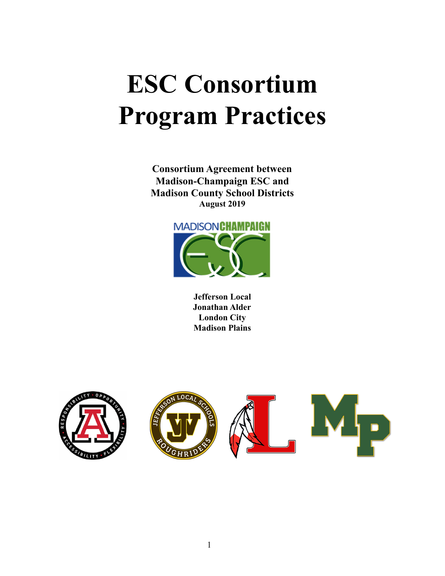# **ESC Consortium Program Practices**

**Consortium Agreement between Madison-Champaign ESC and Madison County School Districts August 2019**



**Jefferson Local Jonathan Alder London City Madison Plains**

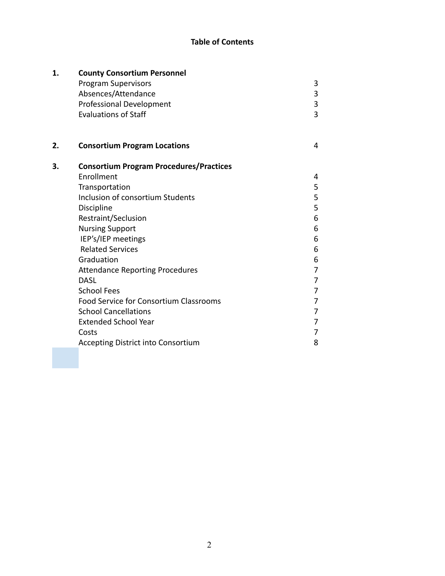# **Table of Contents**

| 1. | <b>County Consortium Personnel</b>             |   |  |  |
|----|------------------------------------------------|---|--|--|
|    | <b>Program Supervisors</b>                     | 3 |  |  |
|    | Absences/Attendance                            | 3 |  |  |
|    | <b>Professional Development</b>                | 3 |  |  |
|    | <b>Evaluations of Staff</b>                    | 3 |  |  |
| 2. | <b>Consortium Program Locations</b>            | 4 |  |  |
| 3. | <b>Consortium Program Procedures/Practices</b> |   |  |  |
|    | Enrollment                                     | 4 |  |  |
|    | Transportation                                 | 5 |  |  |
|    | Inclusion of consortium Students               | 5 |  |  |
|    | Discipline                                     | 5 |  |  |
|    | Restraint/Seclusion                            | 6 |  |  |
|    | <b>Nursing Support</b>                         | 6 |  |  |
|    | IEP's/IEP meetings                             | 6 |  |  |
|    | <b>Related Services</b>                        | 6 |  |  |
|    | Graduation                                     | 6 |  |  |
|    | <b>Attendance Reporting Procedures</b>         | 7 |  |  |
|    | <b>DASL</b>                                    | 7 |  |  |
|    | <b>School Fees</b>                             | 7 |  |  |
|    | Food Service for Consortium Classrooms         | 7 |  |  |
|    | <b>School Cancellations</b>                    | 7 |  |  |
|    | <b>Extended School Year</b>                    | 7 |  |  |
|    | Costs                                          | 7 |  |  |
|    | <b>Accepting District into Consortium</b>      | 8 |  |  |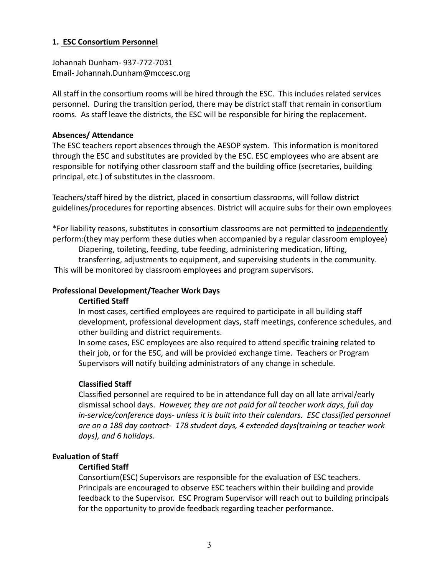## **1. ESC Consortium Personnel**

Johannah Dunham- 937-772-7031 Email- Johannah.Dunham@mccesc.org

All staff in the consortium rooms will be hired through the ESC. This includes related services personnel. During the transition period, there may be district staff that remain in consortium rooms. As staff leave the districts, the ESC will be responsible for hiring the replacement.

#### **Absences/ Attendance**

The ESC teachers report absences through the AESOP system. This information is monitored through the ESC and substitutes are provided by the ESC. ESC employees who are absent are responsible for notifying other classroom staff and the building office (secretaries, building principal, etc.) of substitutes in the classroom.

Teachers/staff hired by the district, placed in consortium classrooms, will follow district guidelines/procedures for reporting absences. District will acquire subs for their own employees

\*For liability reasons, substitutes in consortium classrooms are not permitted to independently perform:(they may perform these duties when accompanied by a regular classroom employee)

Diapering, toileting, feeding, tube feeding, administering medication, lifting,

transferring, adjustments to equipment, and supervising students in the community. This will be monitored by classroom employees and program supervisors.

## **Professional Development/Teacher Work Days**

## **Certified Staff**

In most cases, certified employees are required to participate in all building staff development, professional development days, staff meetings, conference schedules, and other building and district requirements.

In some cases, ESC employees are also required to attend specific training related to their job, or for the ESC, and will be provided exchange time. Teachers or Program Supervisors will notify building administrators of any change in schedule.

## **Classified Staff**

Classified personnel are required to be in attendance full day on all late arrival/early dismissal school days. *However, they are not paid for all teacher work days, full day in-service/conference days- unless it is built into their calendars. ESC classified personnel are on a 188 day contract- 178 student days, 4 extended days(training or teacher work days), and 6 holidays.*

## **Evaluation of Staff**

## **Certified Staff**

Consortium(ESC) Supervisors are responsible for the evaluation of ESC teachers. Principals are encouraged to observe ESC teachers within their building and provide feedback to the Supervisor. ESC Program Supervisor will reach out to building principals for the opportunity to provide feedback regarding teacher performance.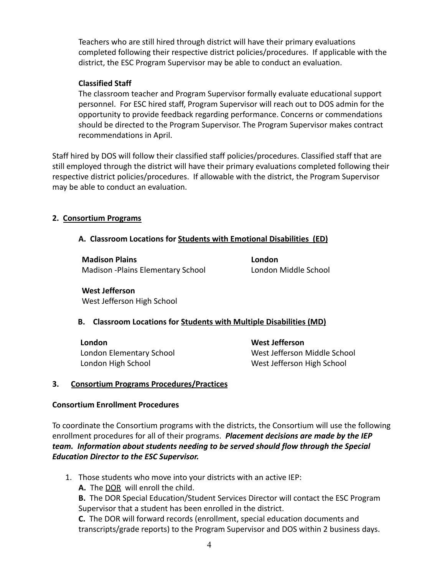Teachers who are still hired through district will have their primary evaluations completed following their respective district policies/procedures. If applicable with the district, the ESC Program Supervisor may be able to conduct an evaluation.

## **Classified Staff**

The classroom teacher and Program Supervisor formally evaluate educational support personnel. For ESC hired staff, Program Supervisor will reach out to DOS admin for the opportunity to provide feedback regarding performance. Concerns or commendations should be directed to the Program Supervisor. The Program Supervisor makes contract recommendations in April.

Staff hired by DOS will follow their classified staff policies/procedures. Classified staff that are still employed through the district will have their primary evaluations completed following their respective district policies/procedures. If allowable with the district, the Program Supervisor may be able to conduct an evaluation.

## **2. Consortium Programs**

## **A. Classroom Locations for Students with Emotional Disabilities (ED)**

**Madison Plains London** Madison -Plains Elementary School London Middle School

**West Jefferson** West Jefferson High School

## **B. Classroom Locations for Students with Multiple Disabilities (MD)**

**London West Jefferson**

London Elementary School West Jefferson Middle School London High School West Jefferson High School

## **3. Consortium Programs Procedures/Practices**

## **Consortium Enrollment Procedures**

To coordinate the Consortium programs with the districts, the Consortium will use the following enrollment procedures for all of their programs. *Placement decisions are made by the IEP team. Information about students needing to be served should flow through the Special Education Director to the ESC Supervisor.*

- 1. Those students who move into your districts with an active IEP:
	- **A.** The DOR will enroll the child.

**B.** The DOR Special Education/Student Services Director will contact the ESC Program Supervisor that a student has been enrolled in the district.

**C.** The DOR will forward records (enrollment, special education documents and transcripts/grade reports) to the Program Supervisor and DOS within 2 business days.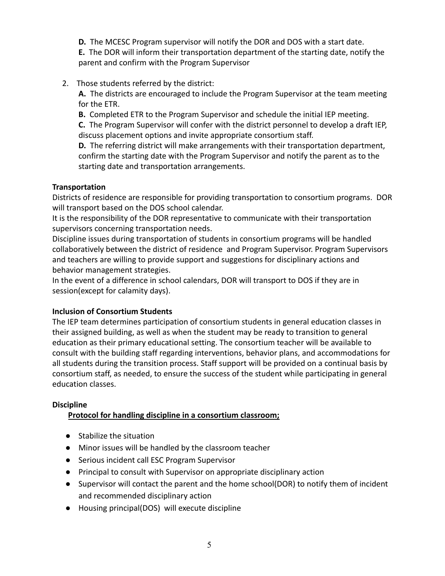**D.** The MCESC Program supervisor will notify the DOR and DOS with a start date.

**E.** The DOR will inform their transportation department of the starting date, notify the parent and confirm with the Program Supervisor

## 2. Those students referred by the district:

**A.** The districts are encouraged to include the Program Supervisor at the team meeting for the ETR.

**B.** Completed ETR to the Program Supervisor and schedule the initial IEP meeting.

**C.** The Program Supervisor will confer with the district personnel to develop a draft IEP, discuss placement options and invite appropriate consortium staff.

**D.** The referring district will make arrangements with their transportation department, confirm the starting date with the Program Supervisor and notify the parent as to the starting date and transportation arrangements.

## **Transportation**

Districts of residence are responsible for providing transportation to consortium programs. DOR will transport based on the DOS school calendar.

It is the responsibility of the DOR representative to communicate with their transportation supervisors concerning transportation needs.

Discipline issues during transportation of students in consortium programs will be handled collaboratively between the district of residence and Program Supervisor. Program Supervisors and teachers are willing to provide support and suggestions for disciplinary actions and behavior management strategies.

In the event of a difference in school calendars, DOR will transport to DOS if they are in session(except for calamity days).

## **Inclusion of Consortium Students**

The IEP team determines participation of consortium students in general education classes in their assigned building, as well as when the student may be ready to transition to general education as their primary educational setting. The consortium teacher will be available to consult with the building staff regarding interventions, behavior plans, and accommodations for all students during the transition process. Staff support will be provided on a continual basis by consortium staff, as needed, to ensure the success of the student while participating in general education classes.

## **Discipline**

## **Protocol for handling discipline in a consortium classroom;**

- Stabilize the situation
- Minor issues will be handled by the classroom teacher
- Serious incident call ESC Program Supervisor
- Principal to consult with Supervisor on appropriate disciplinary action
- Supervisor will contact the parent and the home school(DOR) to notify them of incident and recommended disciplinary action
- Housing principal(DOS) will execute discipline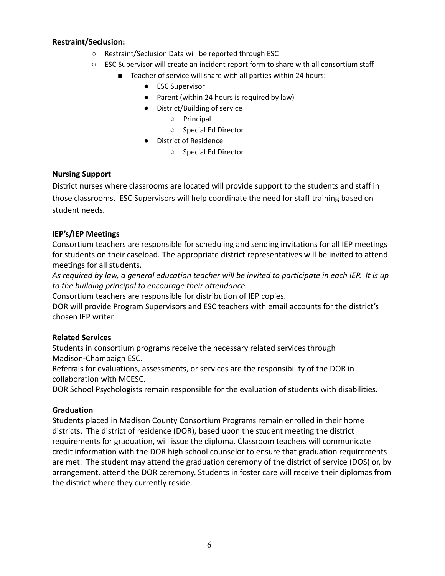## **Restraint/Seclusion:**

- Restraint/Seclusion Data will be reported through ESC
- ESC Supervisor will create an incident report form to share with all consortium staff
	- Teacher of service will share with all parties within 24 hours:
		- ESC Supervisor
		- Parent (within 24 hours is required by law)
		- District/Building of service
			- Principal
			- Special Ed Director
		- District of Residence
			- Special Ed Director

## **Nursing Support**

District nurses where classrooms are located will provide support to the students and staff in those classrooms. ESC Supervisors will help coordinate the need for staff training based on student needs.

## **IEP's/IEP Meetings**

Consortium teachers are responsible for scheduling and sending invitations for all IEP meetings for students on their caseload. The appropriate district representatives will be invited to attend meetings for all students.

*As required by law, a general education teacher will be invited to participate in each IEP. It is up to the building principal to encourage their attendance.*

Consortium teachers are responsible for distribution of IEP copies.

DOR will provide Program Supervisors and ESC teachers with email accounts for the district's chosen IEP writer

## **Related Services**

Students in consortium programs receive the necessary related services through Madison-Champaign ESC.

Referrals for evaluations, assessments, or services are the responsibility of the DOR in collaboration with MCESC.

DOR School Psychologists remain responsible for the evaluation of students with disabilities.

## **Graduation**

Students placed in Madison County Consortium Programs remain enrolled in their home districts. The district of residence (DOR), based upon the student meeting the district requirements for graduation, will issue the diploma. Classroom teachers will communicate credit information with the DOR high school counselor to ensure that graduation requirements are met. The student may attend the graduation ceremony of the district of service (DOS) or, by arrangement, attend the DOR ceremony. Students in foster care will receive their diplomas from the district where they currently reside.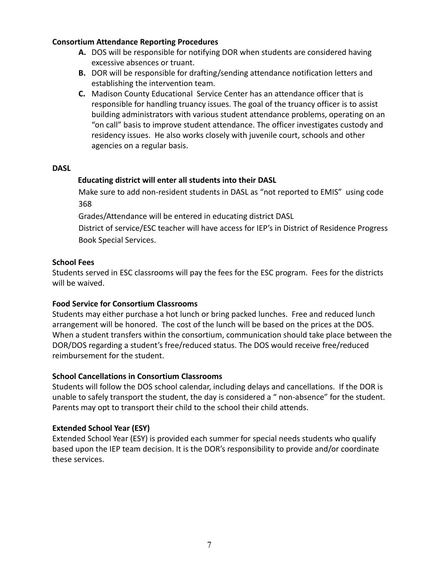## **Consortium Attendance Reporting Procedures**

- **A.** DOS will be responsible for notifying DOR when students are considered having excessive absences or truant.
- **B.** DOR will be responsible for drafting/sending attendance notification letters and establishing the intervention team.
- **C.** Madison County Educational Service Center has an attendance officer that is responsible for handling truancy issues. The goal of the truancy officer is to assist building administrators with various student attendance problems, operating on an "on call" basis to improve student attendance. The officer investigates custody and residency issues. He also works closely with juvenile court, schools and other agencies on a regular basis.

#### **DASL**

## **Educating district will enter all students into their DASL**

Make sure to add non-resident students in DASL as "not reported to EMIS" using code 368

Grades/Attendance will be entered in educating district DASL

District of service/ESC teacher will have access for IEP's in District of Residence Progress Book Special Services.

## **School Fees**

Students served in ESC classrooms will pay the fees for the ESC program. Fees for the districts will be waived.

## **Food Service for Consortium Classrooms**

Students may either purchase a hot lunch or bring packed lunches. Free and reduced lunch arrangement will be honored. The cost of the lunch will be based on the prices at the DOS. When a student transfers within the consortium, communication should take place between the DOR/DOS regarding a student's free/reduced status. The DOS would receive free/reduced reimbursement for the student.

## **School Cancellations in Consortium Classrooms**

Students will follow the DOS school calendar, including delays and cancellations. If the DOR is unable to safely transport the student, the day is considered a " non-absence" for the student. Parents may opt to transport their child to the school their child attends.

## **Extended School Year (ESY)**

Extended School Year (ESY) is provided each summer for special needs students who qualify based upon the IEP team decision. It is the DOR's responsibility to provide and/or coordinate these services.